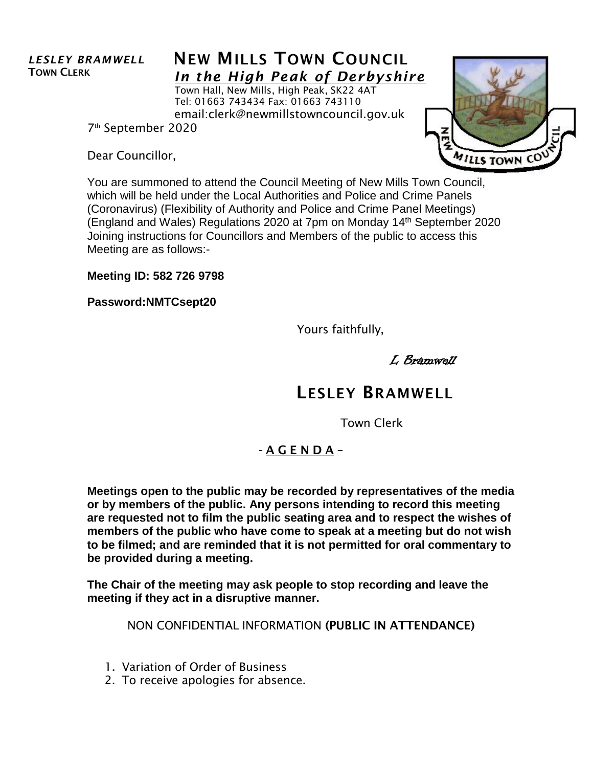## *LESLEY BRAMWELL* TOWN CLERK

## **NEW MILLS TOWN COUNCIL** *In the High Peak of Derbyshire*

Town Hall, New Mills, High Peak, SK22 4AT Tel: 01663 743434 Fax: 01663 743110 email:clerk@newmillstowncouncil.gov.uk

7 th September 2020

Dear Councillor,



You are summoned to attend the Council Meeting of New Mills Town Council, which will be held under the Local Authorities and Police and Crime Panels (Coronavirus) (Flexibility of Authority and Police and Crime Panel Meetings) (England and Wales) Regulations 2020 at 7pm on Monday 14<sup>th</sup> September 2020 Joining instructions for Councillors and Members of the public to access this Meeting are as follows:-

**Meeting ID: 582 726 9798**

**Password:NMTCsept20**

Yours faithfully,

L Bramwell

## LESLEY BRAMWELL

Town Clerk

## - A G E N D A –

**Meetings open to the public may be recorded by representatives of the media or by members of the public. Any persons intending to record this meeting are requested not to film the public seating area and to respect the wishes of members of the public who have come to speak at a meeting but do not wish to be filmed; and are reminded that it is not permitted for oral commentary to be provided during a meeting.**

**The Chair of the meeting may ask people to stop recording and leave the meeting if they act in a disruptive manner.**

NON CONFIDENTIAL INFORMATION (PUBLIC IN ATTENDANCE)

- 1. Variation of Order of Business
- 2. To receive apologies for absence.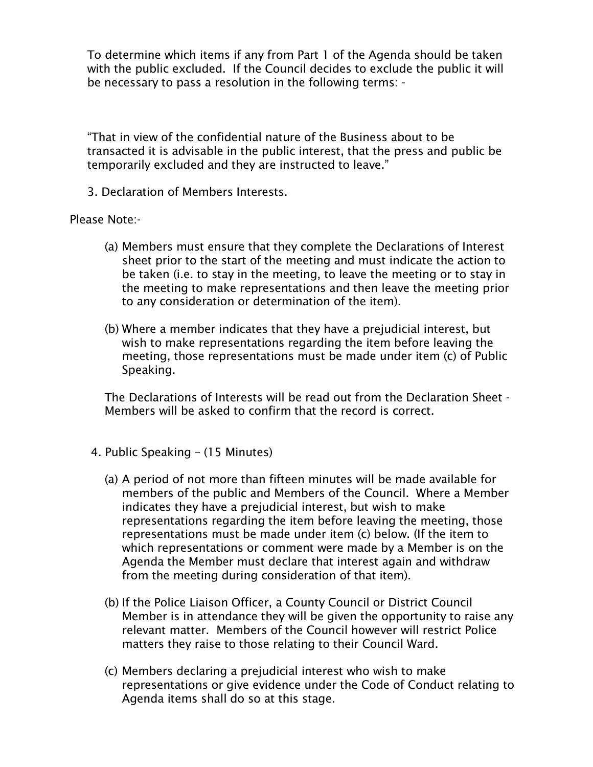To determine which items if any from Part 1 of the Agenda should be taken with the public excluded. If the Council decides to exclude the public it will be necessary to pass a resolution in the following terms: -

"That in view of the confidential nature of the Business about to be transacted it is advisable in the public interest, that the press and public be temporarily excluded and they are instructed to leave."

3. Declaration of Members Interests.

Please Note:-

- (a) Members must ensure that they complete the Declarations of Interest sheet prior to the start of the meeting and must indicate the action to be taken (i.e. to stay in the meeting, to leave the meeting or to stay in the meeting to make representations and then leave the meeting prior to any consideration or determination of the item).
- (b) Where a member indicates that they have a prejudicial interest, but wish to make representations regarding the item before leaving the meeting, those representations must be made under item (c) of Public Speaking.

The Declarations of Interests will be read out from the Declaration Sheet - Members will be asked to confirm that the record is correct.

- 4. Public Speaking (15 Minutes)
	- (a) A period of not more than fifteen minutes will be made available for members of the public and Members of the Council. Where a Member indicates they have a prejudicial interest, but wish to make representations regarding the item before leaving the meeting, those representations must be made under item (c) below. (If the item to which representations or comment were made by a Member is on the Agenda the Member must declare that interest again and withdraw from the meeting during consideration of that item).
	- (b) If the Police Liaison Officer, a County Council or District Council Member is in attendance they will be given the opportunity to raise any relevant matter. Members of the Council however will restrict Police matters they raise to those relating to their Council Ward.
	- (c) Members declaring a prejudicial interest who wish to make representations or give evidence under the Code of Conduct relating to Agenda items shall do so at this stage.